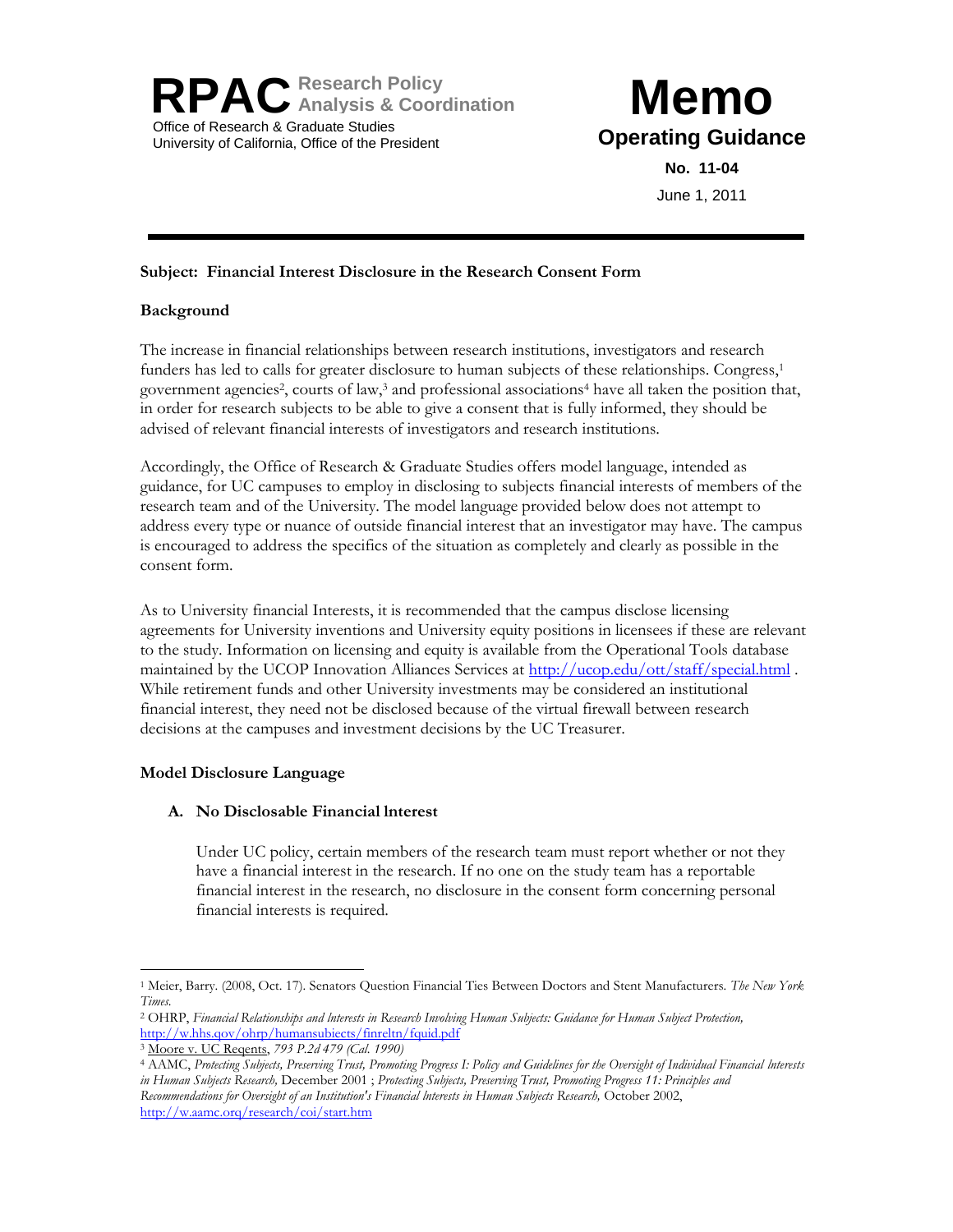**RPACResearch Policy Analysis & Coordination** Office of Research & Graduate Studies University of California, Office of the President

# **Memo Operating Guidance**

**No. 11-04** June 1, 2011

# **Subject: Financial Interest Disclosure in the Research Consent Form**

# **Background**

The increase in financial relationships between research institutions, investigators and research funders has led to calls for greater disclosure to human subjects of these relationships. Congress,<sup>1</sup> government agencies<sup>2</sup>, courts of law,<sup>3</sup> and professional associations<sup>4</sup> have all taken the position that, in order for research subjects to be able to give a consent that is fully informed, they should be advised of relevant financial interests of investigators and research institutions.

Accordingly, the Office of Research & Graduate Studies offers model language, intended as guidance, for UC campuses to employ in disclosing to subjects financial interests of members of the research team and of the University. The model language provided below does not attempt to address every type or nuance of outside financial interest that an investigator may have. The campus is encouraged to address the specifics of the situation as completely and clearly as possible in the consent form.

As to University financial Interests, it is recommended that the campus disclose licensing agreements for University inventions and University equity positions in licensees if these are relevant to the study. Information on licensing and equity is available from the Operational Tools database maintained by the UCOP Innovation Alliances Services at<http://ucop.edu/ott/staff/special.html> . While retirement funds and other University investments may be considered an institutional financial interest, they need not be disclosed because of the virtual firewall between research decisions at the campuses and investment decisions by the UC Treasurer.

# **Model Disclosure Language**

# **A. No Disclosable Financial lnterest**

Under UC policy, certain members of the research team must report whether or not they have a financial interest in the research. If no one on the study team has a reportable financial interest in the research, no disclosure in the consent form concerning personal financial interests is required.

 $\overline{a}$ <sup>1</sup> Meier, Barry. (2008, Oct. 17). Senators Question Financial Ties Between Doctors and Stent Manufacturers. *The New York Times.*

<sup>2</sup> OHRP, *Financial Relationships and lnterests in Research Involving Human Subjects: Guidance for Human Subject Protection,*  <http://w.hhs.qov/ohrp/humansubiects/finreltn/fquid.pdf>

<sup>3</sup> Moore v. UC Reqents, *793 P.2d 479 (Cal. 1990)*

<sup>4</sup> AAMC, *Protecting Subjects, Preserving Trust, Promoting Progress I: Policy and Guidelines for the Oversight of Individual Financial lnterests in Human Subjects Research,* December 2001 ; *Protecting Subjects, Preserving Trust, Promoting Progress 11: Principles and Recommendations for Oversight of an Institution's Financial lnterests in Human Subjects Research,* October 2002, <http://w.aamc.orq/research/coi/start.htm>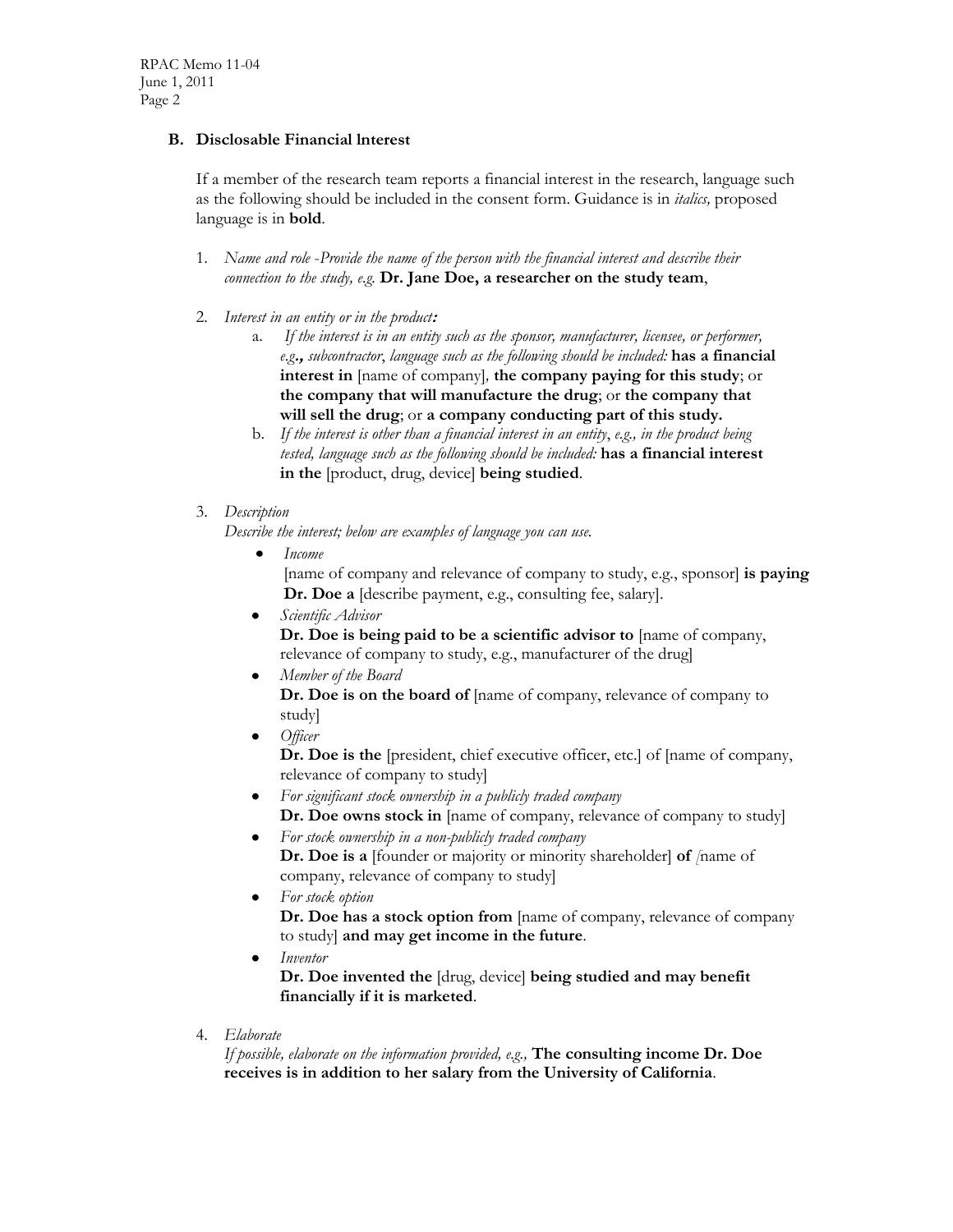#### **B. Disclosable Financial lnterest**

If a member of the research team reports a financial interest in the research, language such as the following should be included in the consent form. Guidance is in *italics,* proposed language is in **bold**.

- 1. *Name and role* -*Provide the name of the person with the financial interest and describe their connection to the study, e.g.* **Dr. Jane Doe, a researcher on the study team**,
- 2. *Interest in an entity or in the product***:**
	- a. *If the interest is in an entity such as the sponsor, manufacturer, licensee, or performer, e.g***.,** *subcontractor*, *language such as the following should be included:* **has a financial interest in** [name of company]*,* **the company paying for this study**; or **the company that will manufacture the drug**; or **the company that will sell the drug**; or **a company conducting part of this study.**
	- b. *If the interest is other than a financial interest in an entity*, *e.g., in the product being tested, language such as the following should be included:* **has a financial interest in the** [product, drug, device] **being studied**.

# 3. *Description*

*Describe the interest; below are examples of language you can use.* 

- $\bullet$ *Income*  [name of company and relevance of company to study, e.g., sponsor] **is paying Dr. Doe a** [describe payment, e.g., consulting fee, salary].
- *Scientific Advisor*  **Dr. Doe is being paid to be a scientific advisor to** [name of company, relevance of company to study, e.g., manufacturer of the drug]
- *Member of the Board*  **Dr. Doe is on the board of** [name of company, relevance of company to study]
- *Officer*   $\bullet$

**Dr. Doe is the** [president, chief executive officer, etc.] of [name of company, relevance of company to study]

- *For significant stock ownership in a publicly traded company*  **Dr. Doe owns stock in** [name of company, relevance of company to study]
- *For stock ownership in a non-publicly traded company*  **Dr. Doe is a** [founder or majority or minority shareholder] **of** *[*name of company, relevance of company to study]
	- *For stock option*  **Dr. Doe has a stock option from** [name of company, relevance of company to study] **and may get income in the future**.
	- *Inventor* **Dr. Doe invented the** [drug, device] **being studied and may benefit financially if it is marketed**.
- 4. *Elaborate*

*If possible, elaborate on the information provided, e.g.,* **The consulting income Dr. Doe receives is in addition to her salary from the University of California**.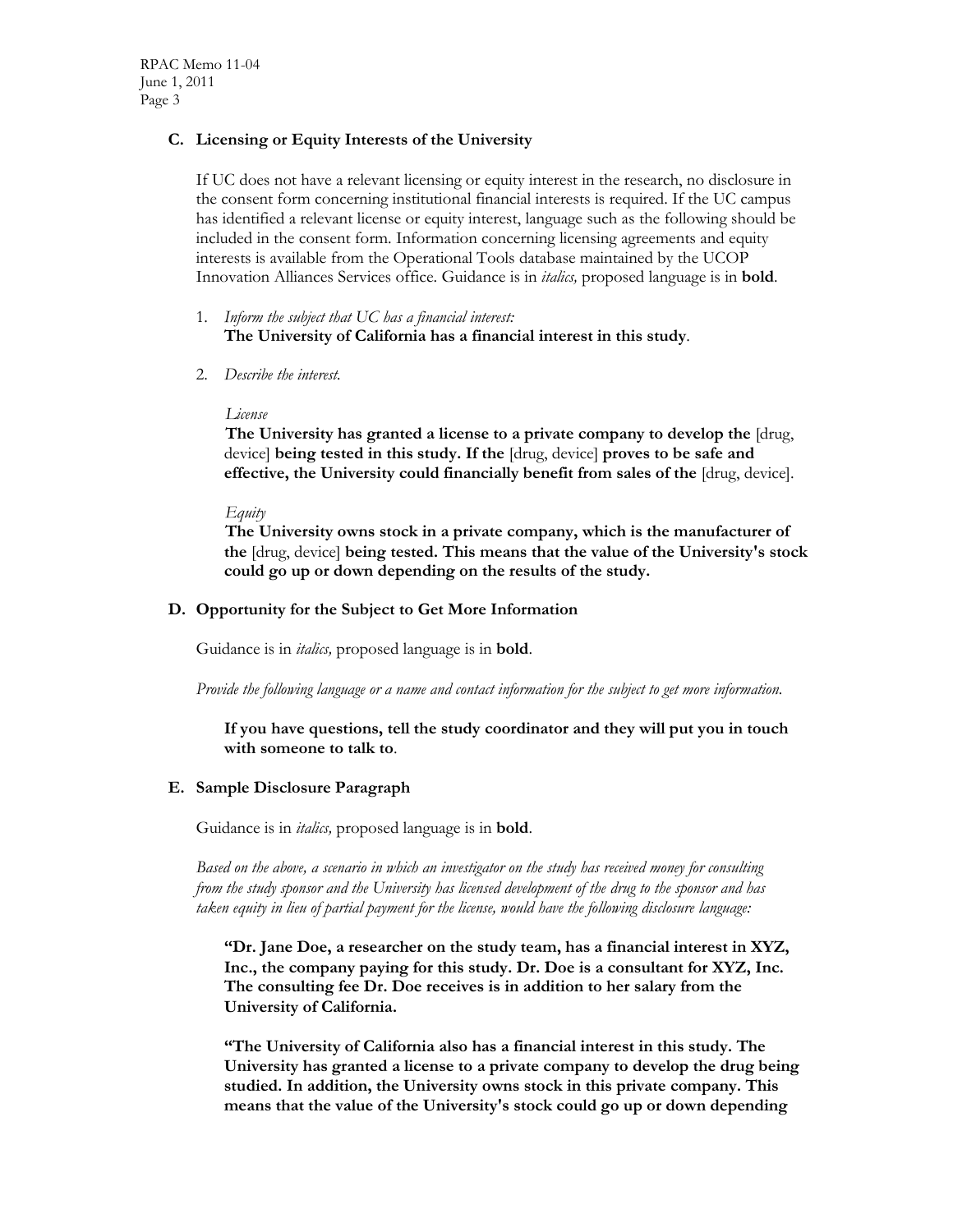# **C. Licensing or Equity Interests of the University**

If UC does not have a relevant licensing or equity interest in the research, no disclosure in the consent form concerning institutional financial interests is required. If the UC campus has identified a relevant license or equity interest, language such as the following should be included in the consent form. Information concerning licensing agreements and equity interests is available from the Operational Tools database maintained by the UCOP Innovation Alliances Services office. Guidance is in *italics,* proposed language is in **bold**.

- 1. *Inform the subject that UC has a financial interest:*  **The University of California has a financial interest in this study**.
- 2. *Describe the interest.*

#### *License*

**The University has granted a license to a private company to develop the** [drug, device] **being tested in this study. If the** [drug, device] **proves to be safe and effective, the University could financially benefit from sales of the** [drug, device].

*Equity* 

**The University owns stock in a private company, which is the manufacturer of the** [drug, device] **being tested. This means that the value of the University's stock could go up or down depending on the results of the study.** 

#### **D. Opportunity for the Subject to Get More Information**

Guidance is in *italics,* proposed language is in **bold**.

*Provide the following language or a name and contact information for the subject to get more information.* 

# **If you have questions, tell the study coordinator and they will put you in touch with someone to talk to**.

# **E. Sample Disclosure Paragraph**

Guidance is in *italics,* proposed language is in **bold**.

*Based on the above, a scenario in which an investigator on the study has received money for consulting from the study sponsor and the University has licensed development of the drug to the sponsor and has taken equity in lieu of partial payment for the license, would have the following disclosure language:* 

**"Dr. Jane Doe, a researcher on the study team, has a financial interest in XYZ, Inc., the company paying for this study. Dr. Doe is a consultant for XYZ, Inc. The consulting fee Dr. Doe receives is in addition to her salary from the University of California.** 

**"The University of California also has a financial interest in this study. The University has granted a license to a private company to develop the drug being studied. In addition, the University owns stock in this private company. This means that the value of the University's stock could go up or down depending**